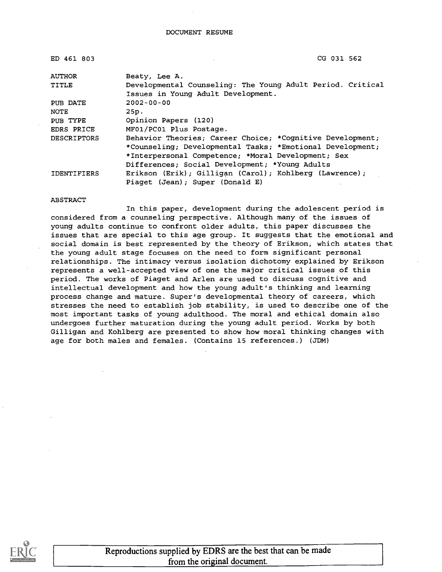| ED 461 803         | CG 031 562                                                 |
|--------------------|------------------------------------------------------------|
| <b>AUTHOR</b>      | Beaty, Lee A.                                              |
| TITLE              | Developmental Counseling: The Young Adult Period. Critical |
|                    | Issues in Young Adult Development.                         |
| PUB DATE           | $2002 - 00 - 00$                                           |
| NOTE               | 25p.                                                       |
| PUB TYPE           | Opinion Papers (120)                                       |
| EDRS PRICE         | MF01/PC01 Plus Postage.                                    |
| <b>DESCRIPTORS</b> | Behavior Theories; Career Choice; *Cognitive Development;  |
|                    | *Counseling; Developmental Tasks; *Emotional Development;  |
|                    | *Interpersonal Competence; *Moral Development; Sex         |
|                    | Differences; Social Development; *Young Adults             |
| <b>IDENTIFIERS</b> | Erikson (Erik); Gilligan (Carol); Kohlberg (Lawrence);     |
|                    | Piaget (Jean); Super (Donald E)                            |

#### ABSTRACT

In this paper, development during the adolescent period is considered from a counseling perspective. Although many of the issues of young adults continue to confront older adults, this paper discusses the issues that are special to this age group. It suggests that the emotional and social domain is best represented by the theory of Erikson, which states that the young adult stage focuses on the need to form significant personal relationships. The intimacy versus isolation dichotomy explained by Erikson represents a well-accepted view of one the major critical issues of this period. The works of Piaget and Arlen are used to discuss cognitive and intellectual development and how the young adult's thinking and learning process change and mature. Super's developmental theory of careers, which stresses the need to establish job stability, is used to describe one of the most important tasks of young adulthood. The moral and ethical domain also undergoes further maturation during the young adult period. Works by both Gilligan and Kohlberg are presented to show how moral thinking changes with age for both males and females. (Contains 15 references.) (JDM)

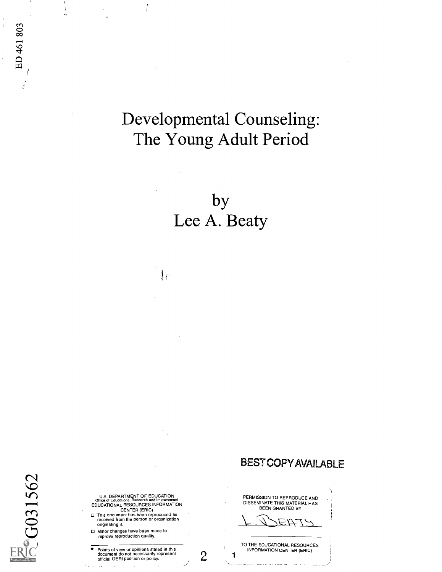# Developmental Counseling: The Young Adult Period

by Lee A. Beaty

 $\mathbf{I}_i$ 

Z<sub>2</sub>G031562

ED 461 803

U.S. DEPARTMENT OF EDUCATION<br>Office of Educational Research and Improvement<br>EDUCATIONAL RESOURCES INFORMATION<br>CENTER (ERIC)

- O This document has been reproduced as received from the person or organization originating it.
- O Minor changes have been made to improve reproduction quality.

Points of view or opinions stated in this document do not necessarily represent official OERI position or policy.  $\overline{a}$ 

 $\sim$   $\sim$ 

 $\mathbf{c}$ 

1

BESTCOPYAVAILABLE

PERMISSION TO REPRODUCE AND DISSEMINATE THIS MATERIAL HAS BEEN GRANTED BY

ニハナ

TO THE EDUCATIONAL RESOURCES INFORMATION CENTER (ERIC)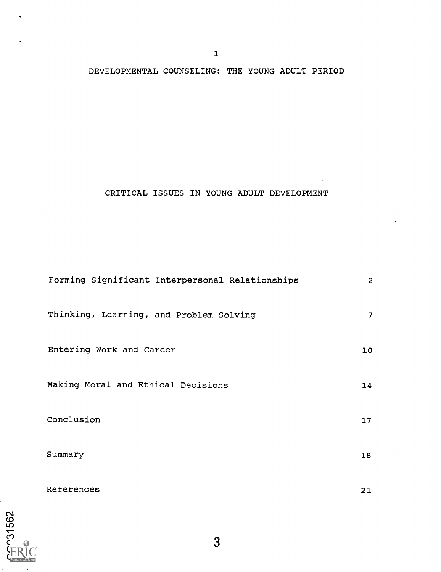## DEVELOPMENTAL COUNSELING: THE YOUNG ADULT PERIOD

### CRITICAL ISSUES IN YOUNG ADULT DEVELOPMENT

| Forming Significant Interpersonal Relationships | $\overline{2}$ |
|-------------------------------------------------|----------------|
| Thinking, Learning, and Problem Solving         | 7              |
| Entering Work and Career                        | 10             |
| Making Moral and Ethical Decisions              | 14             |
| Conclusion                                      | 17             |
| Summary                                         | 18             |
| References                                      | 21             |

3

ET 131562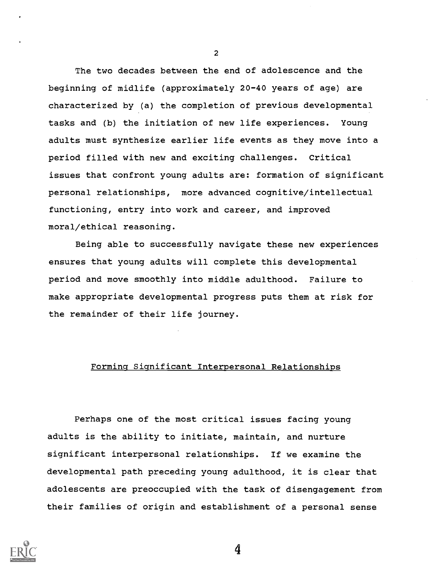The two decades between the end of adolescence and the beginning of midlife (approximately 20-40 years of age) are characterized by (a) the completion of previous developmental tasks and (b) the initiation of new life experiences. Young adults must synthesize earlier life events as they move into a period filled with new and exciting challenges. Critical issues that confront young adults are: formation of significant personal relationships, more advanced cognitive/intellectual functioning, entry into work and career, and improved moral/ethical reasoning.

Being able to successfully navigate these new experiences ensures that young adults will complete this developmental period and move smoothly into middle adulthood. Failure to make appropriate developmental progress puts them at risk for the remainder of their life journey.

#### Forming Significant Interpersonal Relationships

Perhaps one of the most critical issues facing young adults is the ability to initiate, maintain, and nurture significant interpersonal relationships. If we examine the developmental path preceding young adulthood, it is clear that adolescents are preoccupied with the task of disengagement from their families of origin and establishment of a personal sense



2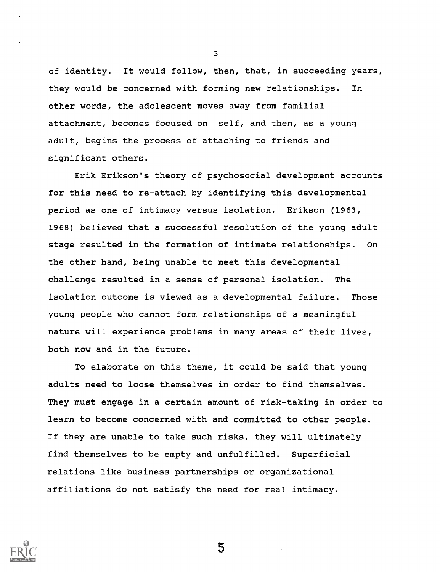of identity. It would follow, then, that, in succeeding years, they would be concerned with forming new relationships. In other words, the adolescent moves away from familial attachment, becomes focused on self, and then, as a young aduit, begins the process of attaching to friends and significant others.

Erik Erikson's theory of psychosocial development accounts for this need to re-attach by identifying this developmental period as one of intimacy versus isolation. Erikson (1963, 1968) believed that a successful resolution of the young adult stage resulted in the formation of intimate relationships. On the other hand, being unable to meet this developmental challenge resulted in a sense of personal isolation. The isolation outcome is viewed as a developmental failure. Those young people who cannot form relationships of a meaningful nature will experience problems in many areas of their lives, both now and in the future.

To elaborate on this theme, it could be said that young adults need to loose themselves in order to find themselves. They must engage in a certain amount of risk-taking in order to learn to become concerned with and committed to other people. If they are unable to take such risks, they will ultimately find themselves to be empty and unfulfilled. Superficial relations like business partnerships or organizational affiliations do not satisfy the need for real intimacy.

5

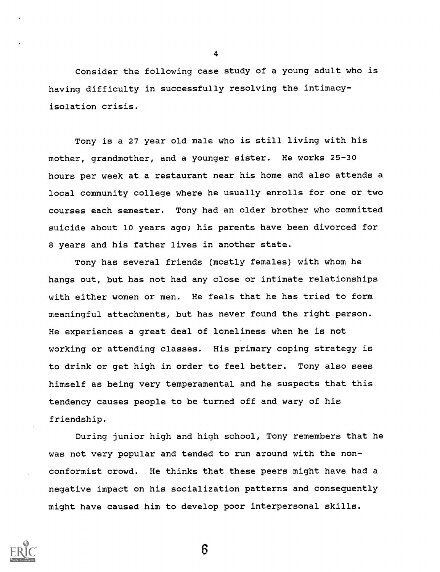Consider the following case study of a young adult who is having difficulty in successfully resolving the intimacyisolation crisis.

Tony is a 27 year old male who is still living with his mother, grandmother, and a younger sister. He works 25-30 hours per week at a restaurant near his home and also attends a local community college where he usually enrolls for one or two courses each semester. Tony had an older brother who committed suicide about 10 years ago; his parents have been divorced for 8 years and his father lives in another state.

Tony has several friends (mostly females) with whom he hangs out, but has not had any close or intimate relationships with either women or men. He feels that he has tried to form meaningful attachments, but has never found the right person. He experiences a great deal of loneliness when he is not working or attending classes. His primary coping strategy is to drink or get high in order to feel better. Tony also sees himself as being very temperamental and he suspects that this tendency causes people to be turned off and wary of his friendship.

During junior high and high school, Tony remembers that he was not very popular and tended to run around with the nonconformist crowd. He thinks that these peers might have had a negative impact on his socialization patterns and consequently might have caused him to develop poor interpersonal skills.



4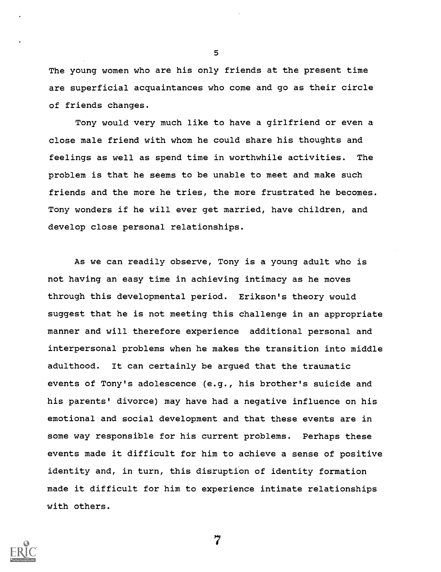The young women who are his only friends at the present time are superficial acquaintances who come and go as their circle of friends changes.

Tony would very much like to have a girlfriend or even a close male friend with whom he could share his thoughts and feelings as well as spend time in worthwhile activities. The problem is that he seems to be unable to meet and make such friends and the more he tries, the more frustrated he becomes. Tony wonders if he will ever get married, have children, and develop close personal relationships.

As we can readily observe, Tony is a young adult who is not having an easy time in achieving intimacy as he moves through this developmental period. Erikson's theory would suggest that he is not meeting this challenge in an appropriate manner and will therefore experience additional personal and interpersonal problems when he makes the transition into middle adulthood. It can certainly be argued that the traumatic events of Tony's adolescence (e.g., his brother's suicide and his parents' divorce) may have had a negative influence on his emotional and social development and that these events are in some way responsible for his current problems. Perhaps these events made it difficult for him to achieve a sense of positive identity and, in turn, this disruption of identity formation made it difficult for him to experience intimate relationships with others.



5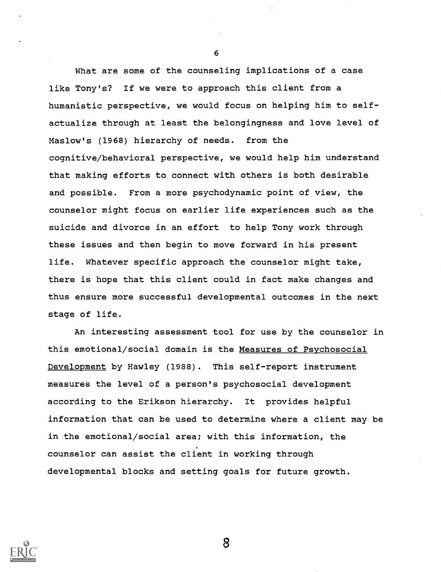What are some of the counseling implications of a case like Tony's? If we were to approach this client from a humanistic perspective, we would focus on helping him to selfactualize through at least the belongingness and love level of Maslow's (1968) hierarchy of needs. from the cognitive/behavioral perspective, we would help him understand that making efforts to connect with others is both desirable and possible. From a more psychodynamic point of view, the counselor might focus on earlier life experiences such as the suicide and divorce in an effort to help Tony work through these issues and then begin to move forward in his present life. Whatever specific approach the counselor might take, there is hope that this client could in fact make changes and thus ensure more successful developmental outcomes in the next stage of life.

An interesting assessment tool for use by the counselor in this emotional/social domain is the Measures of Psychosocial Development by Hawley (1988). This self-report instrument measures the level of a person's psychosocial development according to the Erikson hierarchy. It provides helpful information that can be used to determine where a client may be in the emotional/social area; with this information, the counselor can assist the client in working through developmental blocks and setting goals for future growth.



6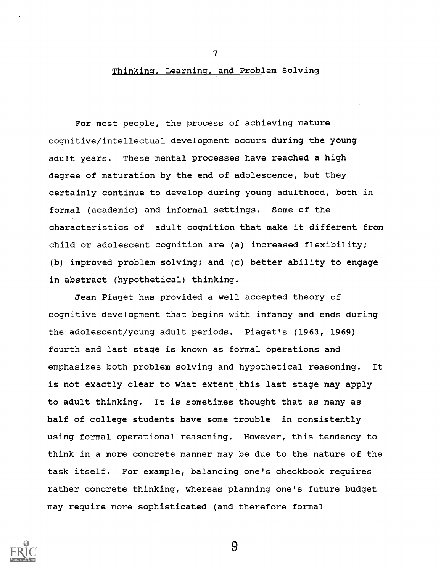#### Thinking, Learning, and Problem Solving

For most people, the process of achieving mature cognitive/intellectual development occurs during the young adult years. These mental processes have reached a high degree of maturation by the end of adolescence, but they certainly continue to develop during young adulthood, both in formal (academic) and informal settings. Some of the characteristics of adult cognition that make it different from child or adolescent cognition are (a) increased flexibility; (b) improved problem solving; and (c) better ability to engage in abstract (hypothetical) thinking.

Jean Piaget has provided a well accepted theory of cognitive development that begins with infancy and ends during the adolescent/young adult periods. Piaget's (1963, 1969) fourth and last stage is known as formal operations and emphasizes both problem solving and hypothetical reasoning. It is not exactly clear to what extent this last stage may apply to adult thinking. It is sometimes thought that as many as half of college students have some trouble in consistently using formal operational reasoning. However, this tendency to think in a more concrete manner may be due to the nature of the task itself. For example, balancing one's checkbook requires rather concrete thinking, whereas planning one's future budget may require more sophisticated (and therefore formal



7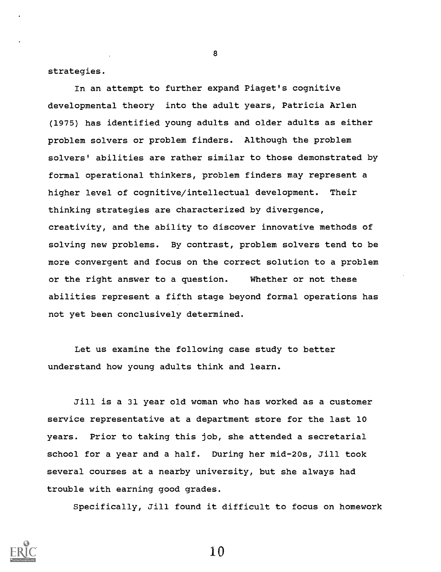strategies.

In an attempt to further expand Piaget's cognitive developmental theory into the adult years, Patricia Arlen (1975) has identified young adults and older adults as either problem solvers or problem finders. Although the problem solvers' abilities are rather similar to those demonstrated by formal operational thinkers, problem finders may represent a higher level of cognitive/intellectual development. Their thinking strategies are characterized by divergence, creativity, and the ability to discover innovative methods of solving new problems. By contrast, problem solvers tend to be more convergent and focus on the correct solution to a problem or the right answer to a question. Whether or not these abilities represent a fifth stage beyond formal operations has not yet been conclusively determined.

Let us examine the following case study to better understand how young adults think and learn.

Jill is a 31 year old woman who has worked as a customer service representative at a department store for the last 10 years. Prior to taking this job, she attended a secretarial school for a year and a half. During her mid-20s, Jill took several courses at a nearby university, but she always had trouble with earning good grades.

Specifically, Jill found it difficult to focus on homework



8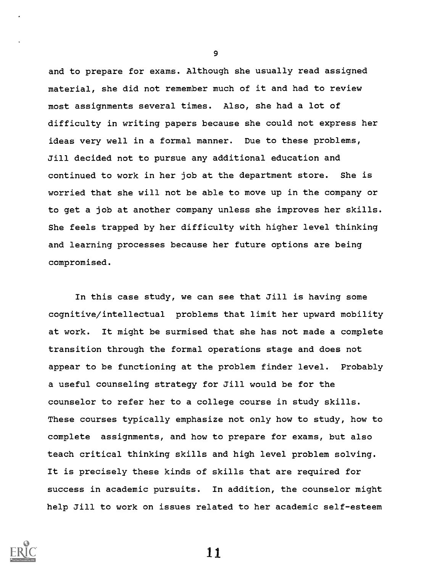and to prepare for exams. Although she usually read assigned material, she did not remember much of it and had to review most assignments several times. Also, she had a lot of difficulty in writing papers because she could not express her ideas very well in a formal manner. Due to these problems, Jill decided not to pursue any additional education and continued to work in her job at the department store. She is worried that she will not be able to move up in the company or to get a job at another company unless she improves her skills. She feels trapped by her difficulty with higher level thinking and learning processes because her future options are being compromised.

In this case study, we can see that Jill is having some cognitive/intellectual problems that limit her upward mobility at work. It might be surmised that she has not made a complete transition through the formal operations stage and does not appear to be functioning at the problem finder level. Probably a useful counseling strategy for Jill would be for the counselor to refer her to a college course in study skills. These courses typically emphasize not only how to study, how to complete assignments, and how to prepare for exams, but also teach critical thinking skills and high level problem solving. It is precisely these kinds of skills that are required for success in academic pursuits. In addition, the counselor might help Jill to work on issues related to her academic self-esteem



9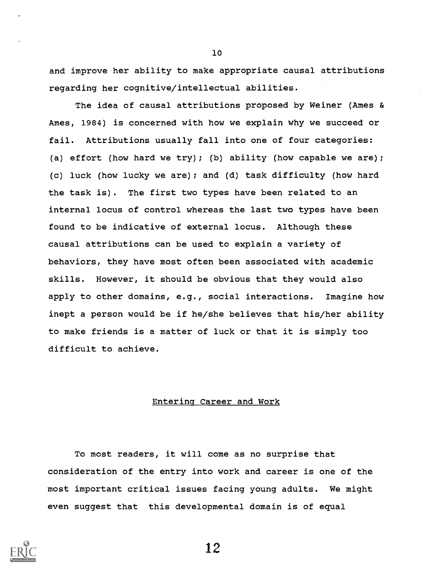and improve her ability to make appropriate causal attributions regarding her cognitive/intellectual abilities.

10

The idea of causal attributions proposed by Weiner (Ames & Ames, 1984) is concerned with how we explain why we succeed or fail. Attributions usually fall into one of four categories: (a) effort (how hard we try); (b) ability (how capable we are); (c) luck (how lucky we are); and (d) task difficulty (how hard the task is). The first two types have been related to an internal locus of control whereas the last two types have been found to be indicative of external locus. Although these causal attributions can be used to explain a variety of behaviors, they have most often been associated with academic skills. However, it should be obvious that they would also apply to other domains, e.g., social interactions. Imagine how inept a person would be if he/she believes that his/her ability to make friends is a matter of luck or that it is simply too difficult to achieve.

#### Entering Career and Work

To most readers, it will come as no surprise that consideration of the entry into work and career is one of the most important critical issues facing young adults. We might even suggest that this developmental domain is of equal

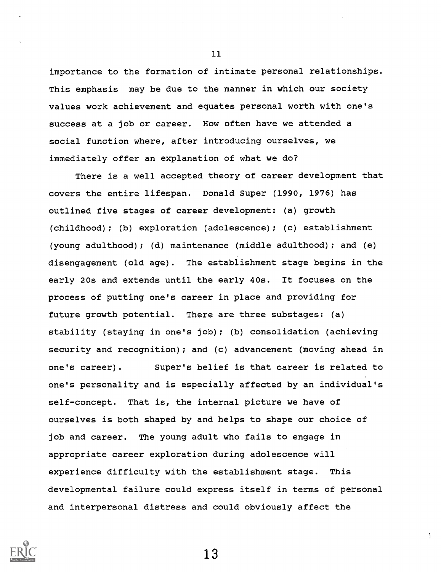importance to the formation of intimate personal relationships. This emphasis may be due to the manner in which our society values work achievement and equates personal worth with one's success at a job or career. How often have we attended a social function where, after introducing ourselves, we immediately offer an explanation of what we do?

There is a well accepted theory of career development that covers the entire lifespan. Donald Super (1990, 1976) has outlined five stages of career development: (a) growth (childhood); (b) exploration (adolescence); (c) establishment (young adulthood); (d) maintenance (middle adulthood); and (e) disengagement (old age). The establishment stage begins in the early 20s and extends until the early 40s. It focuses on the process of putting one's career in place and providing for future growth potential. There are three substages: (a) stability (staying in one's job); (b) consolidation (achieving security and recognition); and (c) advancement (moving ahead in one's career). Super's belief is that career is related to one's personality and is especially affected by an individual's self-concept. That is, the internal picture we have of ourselves is both shaped by and helps to shape our choice of job and career. The young adult who fails to engage in appropriate career exploration during adolescence will experience difficulty with the establishment stage. This developmental failure could express itself in terms of personal and interpersonal distress and could obviously affect the

13

 $\mathbf{A}$ 

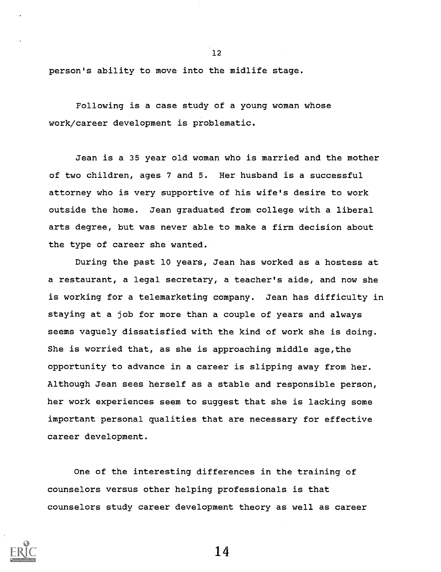person's ability to move into the midlife stage.

Following is a case study of a young woman whose work/career development is problematic.

Jean is a 35 year old woman who is married and the mother of two children, ages 7 and 5. Her husband is a successful attorney who is very supportive of his wife's desire to work outside the home. Jean graduated from college with a liberal arts degree, but was never able to make a firm decision about the type of career she wanted.

During the past 10 years, Jean has worked as a hostess at a restaurant, a legal secretary, a teacher's aide, and now she is working for a telemarketing company. Jean has difficulty in staying at a job for more than a couple of years and always seems vaguely dissatisfied with the kind of work she is doing. She is worried that, as she is approaching middle age,the opportunity to advance in a career is slipping away from her. Although Jean sees herself as a stable and responsible person, her work experiences seem to suggest that she is lacking some important personal qualities that are necessary for effective career development.

One of the interesting differences in the training of counselors versus other helping professionals is that counselors study career development theory as well as career



12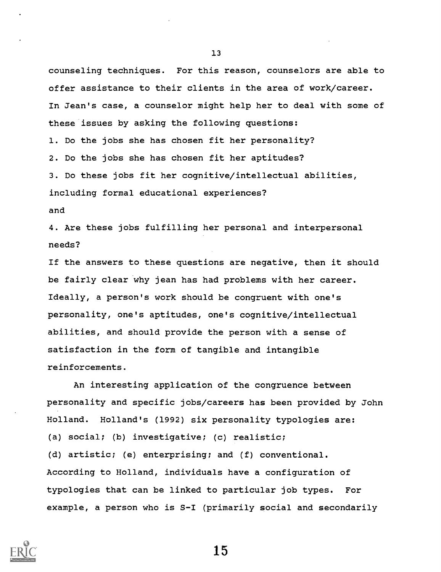counseling techniques. For this reason, counselors are able to offer assistance to their clients in the area of work/career. In Jean's case, a counselor might help her to deal with some of these issues by asking the following questions: 1. Do the jobs she has chosen fit her personality? 2. Do the jobs she has chosen fit her aptitudes? 3. Do these jobs fit her cognitive/intellectual abilities, including formal educational experiences? and

4. Are these jobs fulfilling her personal and interpersonal needs?

If the answers to these questions are negative, then it should be fairly clear why jean has had problems with her career. Ideally, a person's work should be congruent with one's personality, one's aptitudes, one's cognitive/intellectual abilities, and should provide the person with a sense of satisfaction in the form of tangible and intangible reinforcements.

An interesting application of the congruence between personality and specific jobs/careers has been provided by John Holland. Holland's (1992) six personality typologies are: (a) social; (b) investigative; (c) realistic; (d) artistic; (e) enterprising; and (f) conventional. According to Holland, individuals have a configuration of typologies that can be linked to particular job types. For example, a person who is S-I (primarily social and secondarily



13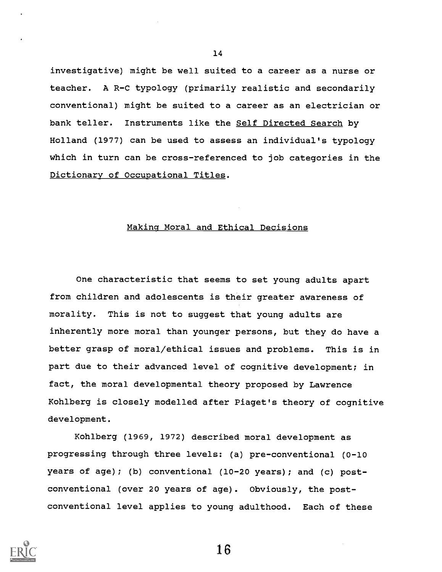investigative) might be well suited to a career as a nurse or teacher. A R-C typology (primarily realistic and secondarily conventional) might be suited to a career as an electrician or bank teller. Instruments like the Self Directed Search by Holland (1977) can be used to assess an individual's typology which in turn can be cross-referenced to job categories in the Dictionary of Occupational Titles.

#### Making Moral and Ethical Decisions

One characteristic that seems to set young adults apart from children and adolescents is their greater awareness of morality. This is not to suggest that young adults are inherently more moral than younger persons, but they do have a better grasp of moral/ethical issues and problems. This is in part due to their advanced level of cognitive development; in fact, the moral developmental theory proposed by Lawrence Kohlberg is closely modelled after Piaget's theory of cognitive development.

Kohlberg (1969, 1972) described moral development as progressing through three levels: (a) pre-conventional (0-10 years of age); (b) conventional (10-20 years); and (c) postconventional (over 20 years of age). Obviously, the postconventional level applies to young adulthood. Each of these



14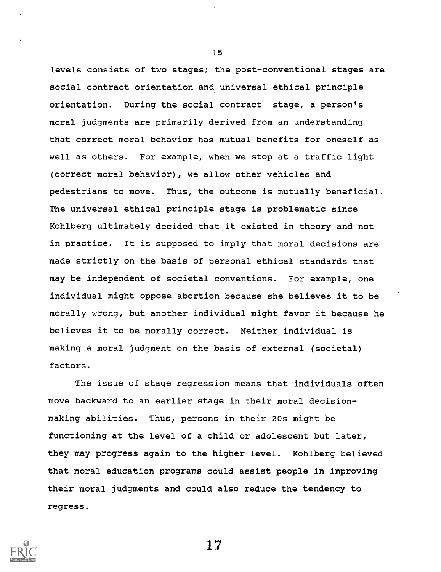levels consists of two stages; the post-conventional stages are social contract orientation and universal ethical principle orientation. During the social contract stage, a person's moral judgments are primarily derived from an understanding that correct moral behavior has mutual benefits for oneself as well as others. For example, when we stop at a traffic light (correct moral behavior), we allow other vehicles and pedestrians to move. Thus, the outcome is mutually beneficial. The universal ethical principle stage is problematic since Kohlberg ultimately decided that it existed in theory and not in practice. It is supposed to imply that moral decisions are made strictly on the basis of personal ethical standards that may be independent of societal conventions. For example, one individual might oppose abortion because she believes it to be morally wrong, but another individual might favor it because he believes it to be morally correct. Neither individual is making a moral judgment on the basis of external (societal) factors.

The issue of stage regression means that individuals often move backward to an earlier stage in their moral decisionmaking abilities. Thus, persons in their 20s might be functioning at the level of a child or adolescent but later, they may progress again to the higher level. Kohlberg believed that moral education programs could assist people in improving their moral judgments and could also reduce the tendency to regress.



15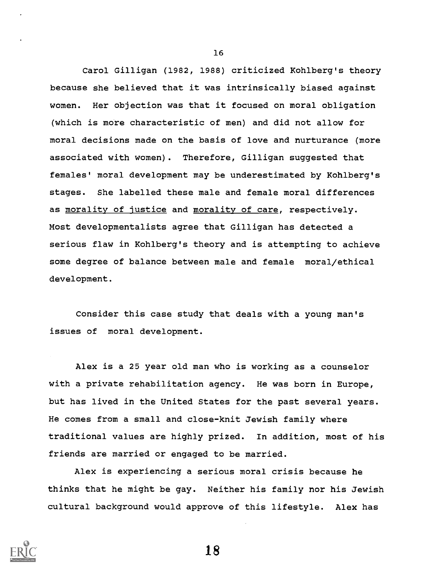Carol Gilligan (1982, 1988) criticized Kohlberg's theory because she believed that it was intrinsically biased against women. Her objection was that it focused on moral obligation (which is more characteristic of men) and did not allow for moral decisions made on the basis of love and nurturance (more associated with women). Therefore, Gilligan suggested that females' moral development may be underestimated by Kohlberg's stages. She labelled these male and female moral differences as morality of justice and morality of care, respectively. Most developmentalists agree that Gilligan has detected a serious flaw in Kohlberg's theory and is attempting to achieve some degree of balance between male and female moral/ethical development.

Consider this case study that deals with a young man's issues of moral development.

Alex is a 25 year old man who is working as a counselor with a private rehabilitation agency. He was born in Europe, but has lived in the United States for the past several years. He comes from a small and close-knit Jewish family where traditional values are highly prized. In addition, most of his friends are married or engaged to be married.

Alex is experiencing a serious moral crisis because he thinks that he might be gay. Neither his family nor his Jewish cultural background would approve of this lifestyle. Alex has



16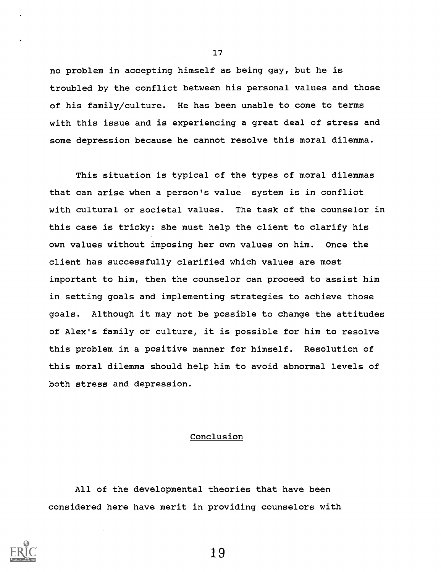no problem in accepting himself as being gay, but he is troubled by the conflict between his personal values and those of his family/culture. He has been unable to come to terms with this issue and is experiencing a great deal of stress and some depression because he cannot resolve this moral dilemma.

This situation is typical of the types of moral dilemmas that can arise when a person's value system is in conflict with cultural or societal values. The task of the counselor in this case is tricky: she must help the client to clarify his own values without imposing her own values on him. Once the client has successfully clarified which values are most important to him, then the counselor can proceed to assist him in setting goals and implementing strategies to achieve those goals. Although it may not be possible to change the attitudes of Alex's family or culture, it is possible for him to resolve this problem in a positive manner for himself. Resolution of this moral dilemma should help him to avoid abnormal levels of both stress and depression.

#### Conclusion

All of the developmental theories that have been considered here have merit in providing counselors with

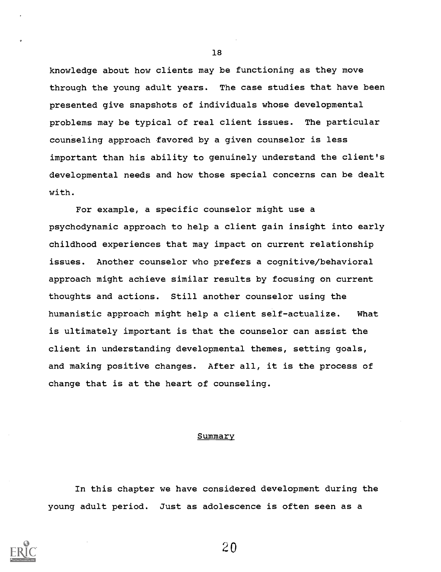knowledge about how clients may be functioning as they move through the young adult years. The case studies that have been presented give snapshots of individuals whose developmental problems may be typical of real client issues. The particular counseling approach favored by a given counselor is less important than his ability to genuinely understand the client's developmental needs and how those special concerns can be dealt with.

For example, a specific counselor might use a psychodynamic approach to help a client gain insight into early childhood experiences that may impact on current relationship issues. Another counselor who prefers a cognitive/behavioral approach might achieve similar results by focusing on current thoughts and actions. Still another counselor using the humanistic approach might help a client self-actualize. What is ultimately important is that the counselor can assist the client in understanding developmental themes, setting goals, and making positive changes. After all, it is the process of change that is at the heart of counseling.

#### Summary

In this chapter we have considered development during the young adult period. Just as adolescence is often seen as a



18

 $2<sub>0</sub>$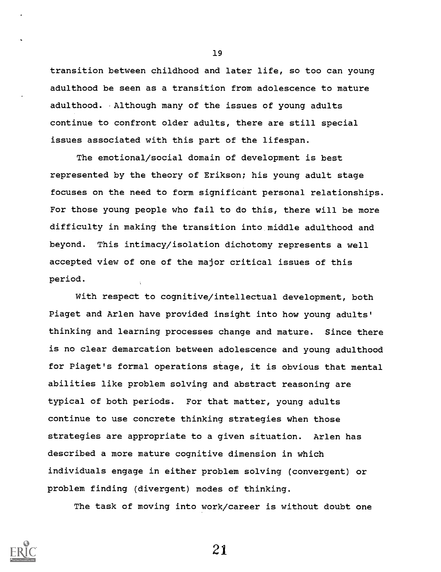transition between childhood and later life, so too can young adulthood be seen as a transition from adolescence to mature adulthood. . Although many of the issues of young adults continue to confront older adults, there are still special issues associated with this part of the lifespan.

The emotional/social domain of development is best represented by the theory of Erikson; his young adult stage focuses on the need to form significant personal relationships. For those young people who fail to do this, there will be more difficulty in making the transition into middle adulthood and beyond. This intimacy/isolation dichotomy represents a well accepted view of one of the major critical issues of this period.

With respect to cognitive/intellectual development, both Piaget and Arlen have provided insight into how young adults' thinking and learning processes change and mature. Since there is no clear demarcation between adolescence and young adulthood for Piaget's formal operations stage, it is obvious that mental abilities like problem solving and abstract reasoning are typical of both periods. For that matter, young adults continue to use concrete thinking strategies when those strategies are appropriate to a given situation. Arlen has described a more mature cognitive dimension in which individuals engage in either problem solving (convergent) or problem finding (divergent) modes of thinking.

The task of moving into work/career is without doubt one



19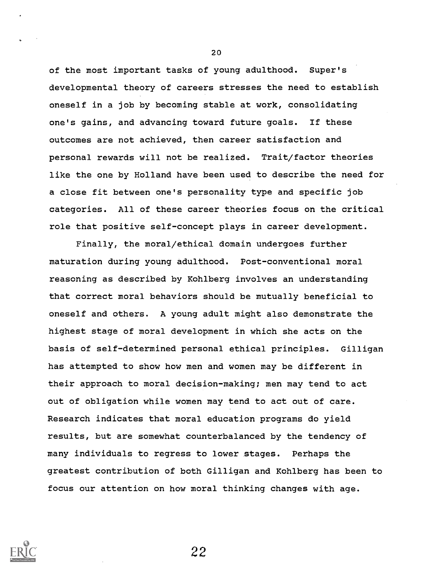of the most important tasks of young adulthood. Super's developmental theory of careers stresses the need to establish oneself in a job by becoming stable at work, consolidating one's gains, and advancing toward future goals. If these outcomes are not achieved, then career satisfaction and personal rewards will not be realized. Trait/factor theories like the one by Holland have been used to describe the need for a close fit between one's personality type and specific job categories. All of these career theories focus on the critical role that positive self-concept plays in career development.

Finally, the moral/ethical domain undergoes further maturation during young adulthood. Post-conventional moral reasoning as described by Kohlberg involves an understanding that correct moral behaviors should be mutually beneficial to oneself and others. A young adult might also demonstrate the highest stage of moral development in which she acts on the basis of self-determined personal ethical principles. Gilligan has attempted to show how men and women may be different in their approach to moral decision-making; men may tend to act out of obligation while women may tend to act out of care. Research indicates that moral education programs do yield results, but are somewhat counterbalanced by the tendency of many individuals to regress to lower stages. Perhaps the greatest contribution of both Gilligan and Kohlberg has been to focus our attention on how moral thinking changes with age.



20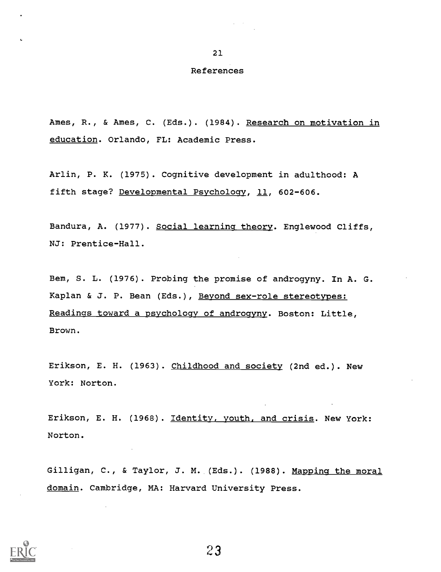#### References

Ames, R., & Ames, C. (Eds.). (1984). Research on motivation in education. Orlando, FL: Academic Press.

Arlin, P. K. (1975). Cognitive development in adulthood: A fifth stage? Developmental Psychology, 11, 602-606.

Bandura, A. (1977). Social learning theory. Englewood Cliffs, NJ: Prentice-Hall.

Bem, S. L. (1976). Probing the promise of androgyny. In A. G. Kaplan & J. P. Bean (Eds.), Beyond sex-role stereotypes: Readings toward a psychology of androgyny. Boston: Little, Brown.

Erikson, E. H. (1963). Childhood and society (2nd ed.). New York: Norton.

Erikson, E. H. (1968). Identity, youth, and crisis. New York: Norton.

Gilligan, C., & Taylor, J. M. (Eds.). (1988). Mapping the moral domain. Cambridge, MA: Harvard University Press.

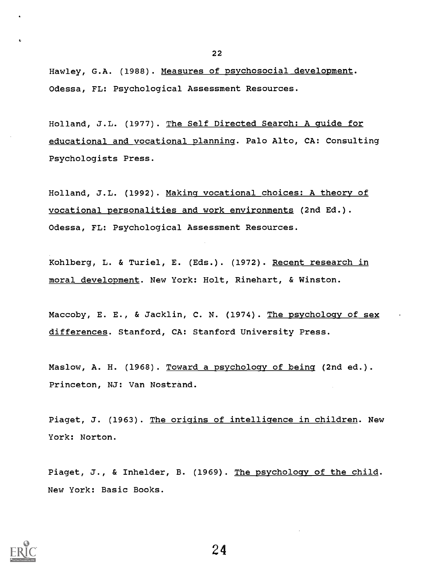Hawley, G.A. (1988). Measures of psychosocial development. Odessa, FL: Psychological Assessment Resources.

Holland, J.L. (1977). The Self Directed Search: A guide for educational and vocational planning. Palo Alto, CA: Consulting Psychologists Press.

Holland, J.L. (1992). Making vocational choices: A theory of vocational personalities and work environments (2nd Ed.). Odessa, FL: Psychological Assessment Resources.

Kohlberg, L. & Turiel, E. (Eds.). (1972). Recent research in moral development. New York: Holt, Rinehart, & Winston.

Maccoby, E. E., & Jacklin, C. N. (1974). The psychology of sex differences. Stanford, CA: Stanford University Press.

Maslow, A. H. (1968). Toward a psychology of being (2nd ed.). Princeton, NJ: Van Nostrand.

Piaget, J. (1963). The origins of intelligence in children. New York: Norton.

Piaget, J., & Inhelder, B. (1969). The psychology of the child. New York: Basic Books.

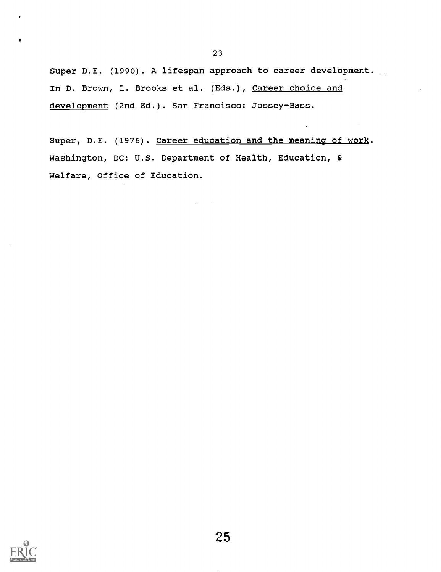Super D.E. (1990). A lifespan approach to career development. \_ In D. Brown, L. Brooks et al. (Eds.), Career choice and development (2nd Ed.). San Francisco: Jossey-Bass.

23

Super, D.E. (1976). Career education and the meaning of work. Washington, DC: U.S. Department of Health, Education, & Welfare, Office of Education.

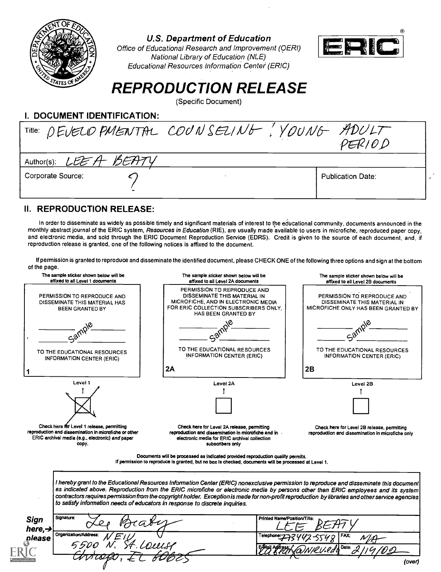

U.S. Department of Education



U.S. Department of Education<br>Office of Educational Research and Improvement (QERI) National Library of Education (NLE) Educational Resources Information Center' (ERIC)

# REPRODUCTION RELEASE

(Specific Document)

### I. DOCUMENT IDENTIFICATION:

|                       | Title: DEVELOPMENTAL COUNSELING! YOUNG ADULT<br>PER/OD |  |
|-----------------------|--------------------------------------------------------|--|
| Author(s): LEEA BEATY |                                                        |  |
| Corporate Source:     | <b>Publication Date:</b>                               |  |

## II. REPRODUCTION RELEASE:

In order to disseminate as widely as possible timely and significant materials of interest to tpe educational community, documents announced in the monthly abstract journal of the ERIC system, Resources in Education (RIE), are usually made available to users in microfiche, reproduced paper copy, and electronic media, and sold through the ERIC Document Reproduction Service (EDRS). Credit is given to the source of each document, and, if reproduction release is granted, one of the following notices is affixed to the document.

If permission is granted to reproduce and disseminate the identified document, please CHECK ONE of the following three options and sign at the bottom of the page.

| The sample sticker shown below will be<br>affixed to all Level 1 documents                                                                                       | The sample sticker shown below will be<br>affixed to all Level 2A documents                                                                                                                                                                                                                                                                                                                                                                                                                                       | The sample sticker shown below will be<br>affixed to all Level 2B documents                        |
|------------------------------------------------------------------------------------------------------------------------------------------------------------------|-------------------------------------------------------------------------------------------------------------------------------------------------------------------------------------------------------------------------------------------------------------------------------------------------------------------------------------------------------------------------------------------------------------------------------------------------------------------------------------------------------------------|----------------------------------------------------------------------------------------------------|
| PERMISSION TO REPRODUCE AND<br>DISSEMINATE THIS MATERIAL HAS<br><b>BEEN GRANTED BY</b>                                                                           | PERMISSION TO REPRODUCE AND<br>DISSEMINATE THIS MATERIAL IN<br>MICROFICHE, AND IN ELECTRONIC MEDIA<br>FOR ERIC COLLECTION SUBSCRIBERS ONLY.<br>HAS BEEN GRANTED BY                                                                                                                                                                                                                                                                                                                                                | PERMISSION TO REPRODUCE AND<br>DISSEMINATE THIS MATERIAL IN<br>MICROFICHE ONLY HAS BEEN GRANTED BY |
|                                                                                                                                                                  | TO THE EDUCATIONAL RESOURCES                                                                                                                                                                                                                                                                                                                                                                                                                                                                                      | TO THE EDUCATIONAL RESOURCES                                                                       |
| TO THE EDUCATIONAL RESOURCES.<br><b>INFORMATION CENTER (ERIC)</b>                                                                                                | <b>INFORMATION CENTER (ERIC)</b><br>2A                                                                                                                                                                                                                                                                                                                                                                                                                                                                            | <b>INFORMATION CENTER (ERIC)</b><br>2B                                                             |
| Level 1                                                                                                                                                          | Level 2A                                                                                                                                                                                                                                                                                                                                                                                                                                                                                                          | Level 2B                                                                                           |
|                                                                                                                                                                  |                                                                                                                                                                                                                                                                                                                                                                                                                                                                                                                   |                                                                                                    |
| Check here for Level 1 release, permitting<br>reproduction and dissemination in microfiche or other<br>ERIC archival media (e.g., electronic) and paper<br>copy. | Check here for Level 2A release, permitting<br>reproduction and dissemination in microfiche and in<br>electronic media for ERIC archival collection<br>subscribers only                                                                                                                                                                                                                                                                                                                                           | Check here for Level 2B release, permitting<br>reproduction and dissemination in microfiche only   |
|                                                                                                                                                                  | Documents will be processed as indicated provided reproduction quality permits.<br>If permission to reproduce is granted, but no box is checked, documents will be processed at Level 1.                                                                                                                                                                                                                                                                                                                          |                                                                                                    |
|                                                                                                                                                                  | I hereby grant to the Educational Resources Information Center (ERIC) nonexclusive permission to reproduce and disseminate this document<br>as indicated above. Reproduction from the ERIC microfiche or electronic media by persons other than ERIC employees and its system<br>contractors raquires permission from the copyright holder. Exception is made for non-profit reproduction by libraries and other service agencies<br>to satisfy information needs of educators in response to discrete inquiries. |                                                                                                    |
| Signature:<br>Sign                                                                                                                                               | Printed Name/Position/Title:                                                                                                                                                                                                                                                                                                                                                                                                                                                                                      |                                                                                                    |
| here, $\rightarrow$<br>Organization/Address:<br>please                                                                                                           | Felechor                                                                                                                                                                                                                                                                                                                                                                                                                                                                                                          | Date:                                                                                              |
|                                                                                                                                                                  |                                                                                                                                                                                                                                                                                                                                                                                                                                                                                                                   |                                                                                                    |
|                                                                                                                                                                  |                                                                                                                                                                                                                                                                                                                                                                                                                                                                                                                   | (over)                                                                                             |